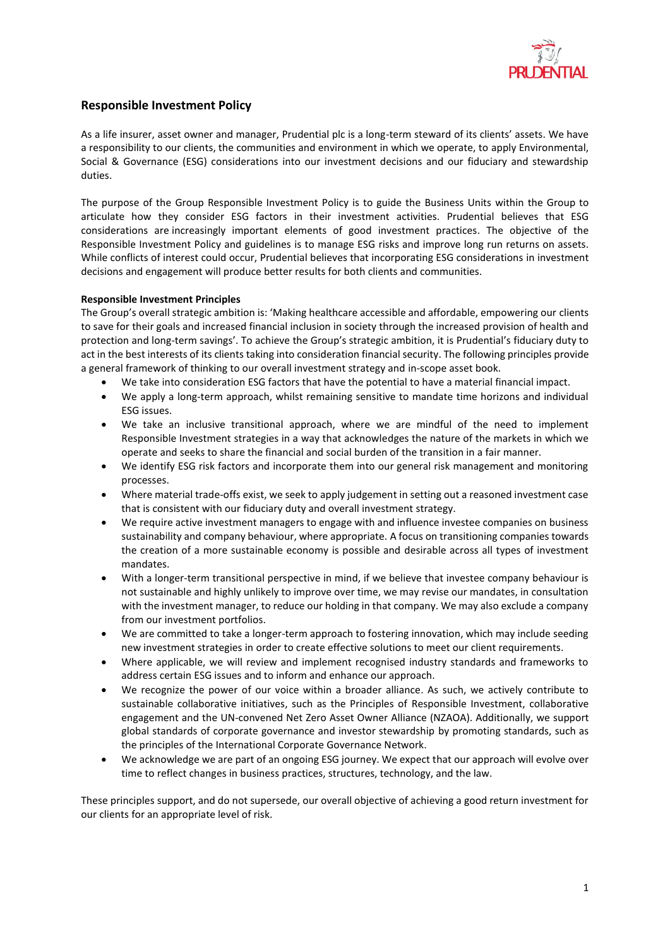

## **Responsible Investment Policy**

As a life insurer, asset owner and manager, Prudential plc is a long-term steward of its clients' assets. We have a responsibility to our clients, the communities and environment in which we operate, to apply Environmental, Social & Governance (ESG) considerations into our investment decisions and our fiduciary and stewardship duties.

The purpose of the Group Responsible Investment Policy is to guide the Business Units within the Group to articulate how they consider ESG factors in their investment activities. Prudential believes that ESG considerations are increasingly important elements of good investment practices. The objective of the Responsible Investment Policy and guidelines is to manage ESG risks and improve long run returns on assets. While conflicts of interest could occur, Prudential believes that incorporating ESG considerations in investment decisions and engagement will produce better results for both clients and communities.

#### **Responsible Investment Principles**

The Group's overall strategic ambition is: 'Making healthcare accessible and affordable, empowering our clients to save for their goals and increased financial inclusion in society through the increased provision of health and protection and long-term savings'. To achieve the Group's strategic ambition, it is Prudential's fiduciary duty to act in the best interests of its clients taking into consideration financial security. The following principles provide a general framework of thinking to our overall investment strategy and in-scope asset book.

- We take into consideration ESG factors that have the potential to have a material financial impact.
- We apply a long-term approach, whilst remaining sensitive to mandate time horizons and individual ESG issues.
- We take an inclusive transitional approach, where we are mindful of the need to implement Responsible Investment strategies in a way that acknowledges the nature of the markets in which we operate and seeks to share the financial and social burden of the transition in a fair manner.
- We identify ESG risk factors and incorporate them into our general risk management and monitoring processes.
- Where material trade-offs exist, we seek to apply judgement in setting out a reasoned investment case that is consistent with our fiduciary duty and overall investment strategy.
- We require active investment managers to engage with and influence investee companies on business sustainability and company behaviour, where appropriate. A focus on transitioning companies towards the creation of a more sustainable economy is possible and desirable across all types of investment mandates.
- With a longer-term transitional perspective in mind, if we believe that investee company behaviour is not sustainable and highly unlikely to improve over time, we may revise our mandates, in consultation with the investment manager, to reduce our holding in that company. We may also exclude a company from our investment portfolios.
- We are committed to take a longer-term approach to fostering innovation, which may include seeding new investment strategies in order to create effective solutions to meet our client requirements.
- Where applicable, we will review and implement recognised industry standards and frameworks to address certain ESG issues and to inform and enhance our approach.
- We recognize the power of our voice within a broader alliance. As such, we actively contribute to sustainable collaborative initiatives, such as the Principles of Responsible Investment, collaborative engagement and the UN-convened Net Zero Asset Owner Alliance (NZAOA). Additionally, we support global standards of corporate governance and investor stewardship by promoting standards, such as the principles of the International Corporate Governance Network.
- We acknowledge we are part of an ongoing ESG journey. We expect that our approach will evolve over time to reflect changes in business practices, structures, technology, and the law.

These principles support, and do not supersede, our overall objective of achieving a good return investment for our clients for an appropriate level of risk.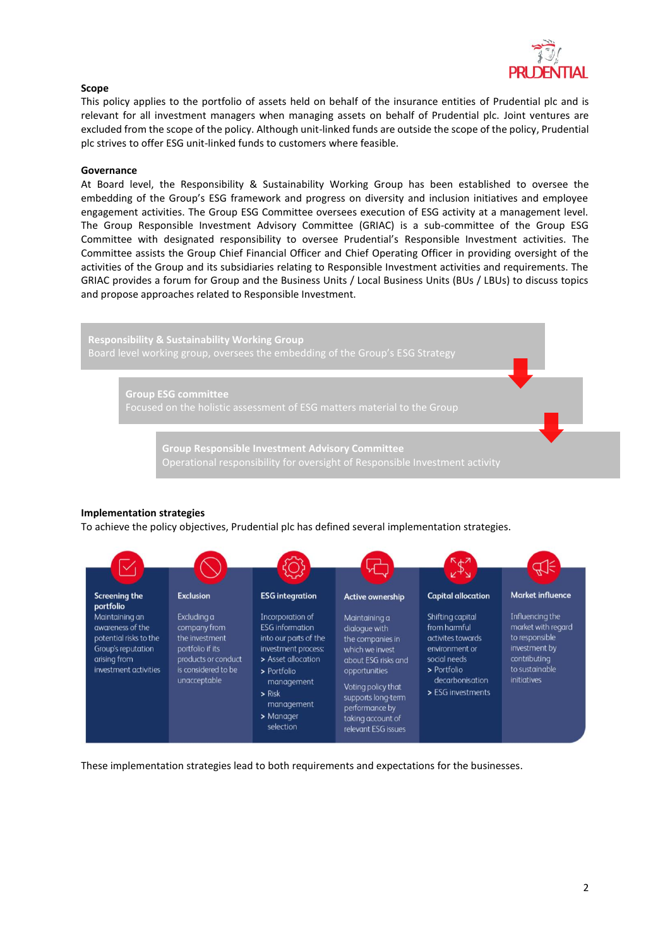

#### **Scope**

This policy applies to the portfolio of assets held on behalf of the insurance entities of Prudential plc and is relevant for all investment managers when managing assets on behalf of Prudential plc. Joint ventures are excluded from the scope of the policy. Although unit-linked funds are outside the scope of the policy, Prudential plc strives to offer ESG unit-linked funds to customers where feasible.

#### **Governance**

At Board level, the Responsibility & Sustainability Working Group has been established to oversee the embedding of the Group's ESG framework and progress on diversity and inclusion initiatives and employee engagement activities. The Group ESG Committee oversees execution of ESG activity at a management level. The Group Responsible Investment Advisory Committee (GRIAC) is a sub-committee of the Group ESG Committee with designated responsibility to oversee Prudential's Responsible Investment activities. The Committee assists the Group Chief Financial Officer and Chief Operating Officer in providing oversight of the activities of the Group and its subsidiaries relating to Responsible Investment activities and requirements. The GRIAC provides a forum for Group and the Business Units / Local Business Units (BUs / LBUs) to discuss topics and propose approaches related to Responsible Investment.

**Responsibility & Sustainability Working Group** Board level working group, oversees the embedding of the Group's ESG Strategy

> **Group ESG committee** Focused on the holistic assessment of ESG matters material to the Group

> > **Group Responsible Investment Advisory Committee**

#### **Implementation strategies**

To achieve the policy objectives, Prudential plc has defined several implementation strategies.



These implementation strategies lead to both requirements and expectations for the businesses.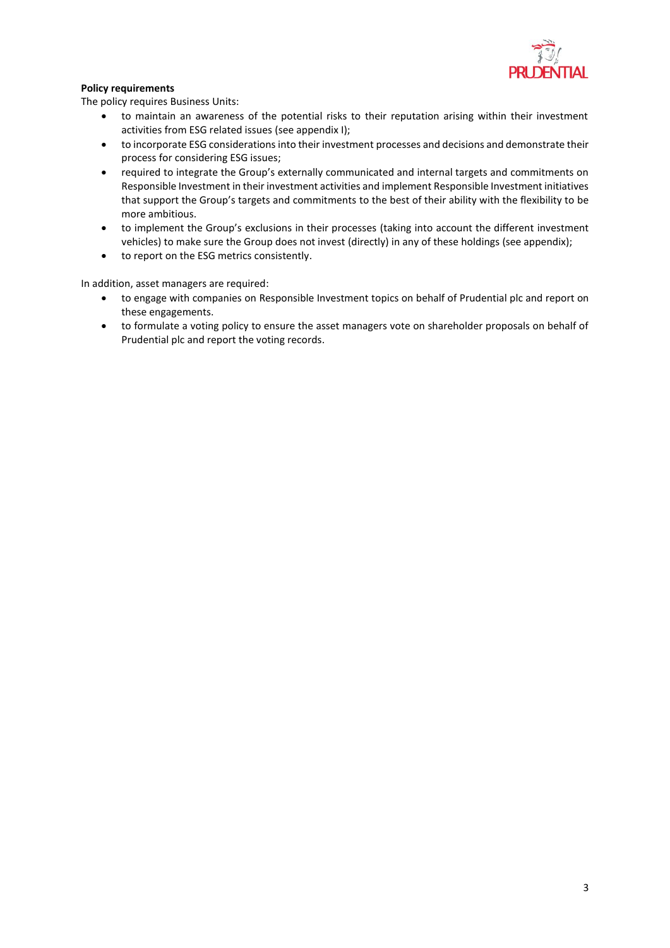

### **Policy requirements**

The policy requires Business Units:

- to maintain an awareness of the potential risks to their reputation arising within their investment activities from ESG related issues (see appendix I);
- to incorporate ESG considerations into their investment processes and decisions and demonstrate their process for considering ESG issues;
- required to integrate the Group's externally communicated and internal targets and commitments on Responsible Investment in their investment activities and implement Responsible Investment initiatives that support the Group's targets and commitments to the best of their ability with the flexibility to be more ambitious.
- to implement the Group's exclusions in their processes (taking into account the different investment vehicles) to make sure the Group does not invest (directly) in any of these holdings (see appendix);
- to report on the ESG metrics consistently.

In addition, asset managers are required:

- to engage with companies on Responsible Investment topics on behalf of Prudential plc and report on these engagements.
- to formulate a voting policy to ensure the asset managers vote on shareholder proposals on behalf of Prudential plc and report the voting records.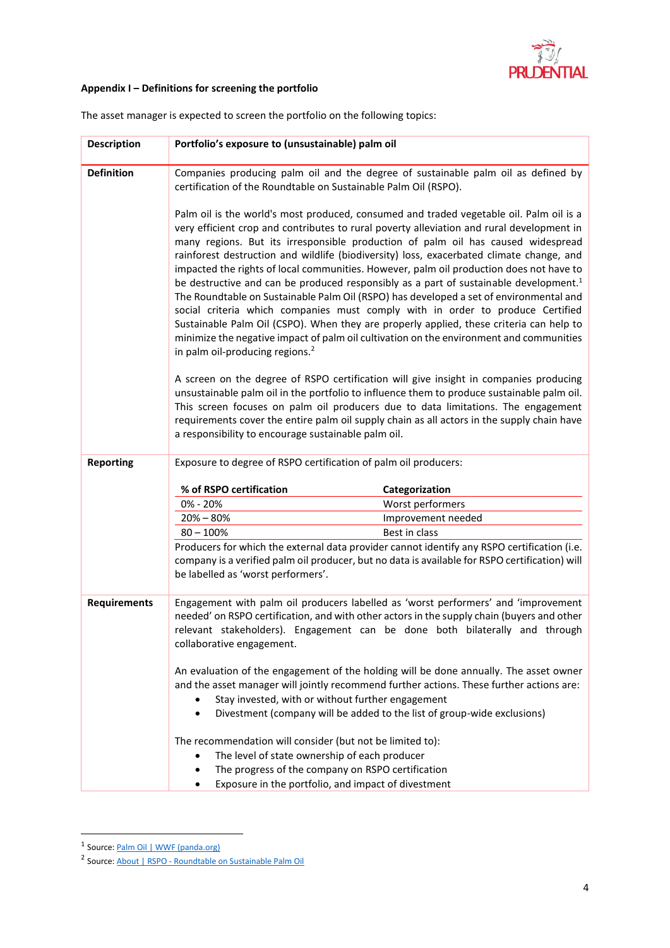

## **Appendix I – Definitions for screening the portfolio**

| <b>Description</b>  | Portfolio's exposure to (unsustainable) palm oil                                                                                                                                                                                                                                                                                                                                                                                                                                                                                                                                                                                                                                                                                                                                                                                                                                                                                                                                                                                                                               |
|---------------------|--------------------------------------------------------------------------------------------------------------------------------------------------------------------------------------------------------------------------------------------------------------------------------------------------------------------------------------------------------------------------------------------------------------------------------------------------------------------------------------------------------------------------------------------------------------------------------------------------------------------------------------------------------------------------------------------------------------------------------------------------------------------------------------------------------------------------------------------------------------------------------------------------------------------------------------------------------------------------------------------------------------------------------------------------------------------------------|
| <b>Definition</b>   | Companies producing palm oil and the degree of sustainable palm oil as defined by<br>certification of the Roundtable on Sustainable Palm Oil (RSPO).                                                                                                                                                                                                                                                                                                                                                                                                                                                                                                                                                                                                                                                                                                                                                                                                                                                                                                                           |
|                     | Palm oil is the world's most produced, consumed and traded vegetable oil. Palm oil is a<br>very efficient crop and contributes to rural poverty alleviation and rural development in<br>many regions. But its irresponsible production of palm oil has caused widespread<br>rainforest destruction and wildlife (biodiversity) loss, exacerbated climate change, and<br>impacted the rights of local communities. However, palm oil production does not have to<br>be destructive and can be produced responsibly as a part of sustainable development. <sup>1</sup><br>The Roundtable on Sustainable Palm Oil (RSPO) has developed a set of environmental and<br>social criteria which companies must comply with in order to produce Certified<br>Sustainable Palm Oil (CSPO). When they are properly applied, these criteria can help to<br>minimize the negative impact of palm oil cultivation on the environment and communities<br>in palm oil-producing regions. <sup>2</sup><br>A screen on the degree of RSPO certification will give insight in companies producing |
|                     | unsustainable palm oil in the portfolio to influence them to produce sustainable palm oil.<br>This screen focuses on palm oil producers due to data limitations. The engagement<br>requirements cover the entire palm oil supply chain as all actors in the supply chain have<br>a responsibility to encourage sustainable palm oil.                                                                                                                                                                                                                                                                                                                                                                                                                                                                                                                                                                                                                                                                                                                                           |
| <b>Reporting</b>    | Exposure to degree of RSPO certification of palm oil producers:                                                                                                                                                                                                                                                                                                                                                                                                                                                                                                                                                                                                                                                                                                                                                                                                                                                                                                                                                                                                                |
|                     | % of RSPO certification<br>Categorization                                                                                                                                                                                                                                                                                                                                                                                                                                                                                                                                                                                                                                                                                                                                                                                                                                                                                                                                                                                                                                      |
|                     | 0% - 20%<br>Worst performers                                                                                                                                                                                                                                                                                                                                                                                                                                                                                                                                                                                                                                                                                                                                                                                                                                                                                                                                                                                                                                                   |
|                     | $20\% - 80\%$<br>Improvement needed                                                                                                                                                                                                                                                                                                                                                                                                                                                                                                                                                                                                                                                                                                                                                                                                                                                                                                                                                                                                                                            |
|                     | Best in class<br>$80 - 100\%$                                                                                                                                                                                                                                                                                                                                                                                                                                                                                                                                                                                                                                                                                                                                                                                                                                                                                                                                                                                                                                                  |
|                     | Producers for which the external data provider cannot identify any RSPO certification (i.e.<br>company is a verified palm oil producer, but no data is available for RSPO certification) will<br>be labelled as 'worst performers'.                                                                                                                                                                                                                                                                                                                                                                                                                                                                                                                                                                                                                                                                                                                                                                                                                                            |
| <b>Requirements</b> | Engagement with palm oil producers labelled as 'worst performers' and 'improvement<br>needed' on RSPO certification, and with other actors in the supply chain (buyers and other<br>relevant stakeholders). Engagement can be done both bilaterally and through<br>collaborative engagement.                                                                                                                                                                                                                                                                                                                                                                                                                                                                                                                                                                                                                                                                                                                                                                                   |
|                     | An evaluation of the engagement of the holding will be done annually. The asset owner<br>and the asset manager will jointly recommend further actions. These further actions are:<br>Stay invested, with or without further engagement<br>Divestment (company will be added to the list of group-wide exclusions)                                                                                                                                                                                                                                                                                                                                                                                                                                                                                                                                                                                                                                                                                                                                                              |
|                     | The recommendation will consider (but not be limited to):<br>The level of state ownership of each producer<br>The progress of the company on RSPO certification<br>Exposure in the portfolio, and impact of divestment                                                                                                                                                                                                                                                                                                                                                                                                                                                                                                                                                                                                                                                                                                                                                                                                                                                         |

The asset manager is expected to screen the portfolio on the following topics:

<sup>&</sup>lt;sup>1</sup> Source: **Palm Oil | WWF (panda.org)** 

<sup>&</sup>lt;sup>2</sup> Source: About | RSPO - [Roundtable on Sustainable Palm Oil](https://rspo.org/about)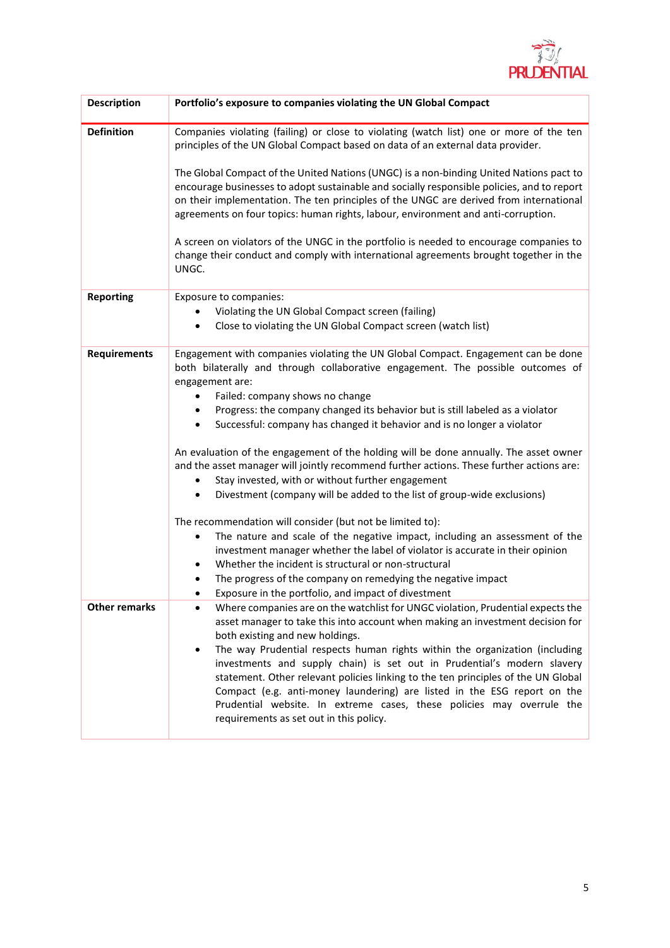

| <b>Description</b>   | Portfolio's exposure to companies violating the UN Global Compact                                                                                                                                                                                                                                                                                                                                                                                                                                                                                                                                                                                                                                                                                                                                                                                                                                                                                                                                                                                                                                                                                                     |
|----------------------|-----------------------------------------------------------------------------------------------------------------------------------------------------------------------------------------------------------------------------------------------------------------------------------------------------------------------------------------------------------------------------------------------------------------------------------------------------------------------------------------------------------------------------------------------------------------------------------------------------------------------------------------------------------------------------------------------------------------------------------------------------------------------------------------------------------------------------------------------------------------------------------------------------------------------------------------------------------------------------------------------------------------------------------------------------------------------------------------------------------------------------------------------------------------------|
| <b>Definition</b>    | Companies violating (failing) or close to violating (watch list) one or more of the ten<br>principles of the UN Global Compact based on data of an external data provider.                                                                                                                                                                                                                                                                                                                                                                                                                                                                                                                                                                                                                                                                                                                                                                                                                                                                                                                                                                                            |
|                      | The Global Compact of the United Nations (UNGC) is a non-binding United Nations pact to<br>encourage businesses to adopt sustainable and socially responsible policies, and to report<br>on their implementation. The ten principles of the UNGC are derived from international<br>agreements on four topics: human rights, labour, environment and anti-corruption.<br>A screen on violators of the UNGC in the portfolio is needed to encourage companies to<br>change their conduct and comply with international agreements brought together in the<br>UNGC.                                                                                                                                                                                                                                                                                                                                                                                                                                                                                                                                                                                                      |
| <b>Reporting</b>     | Exposure to companies:                                                                                                                                                                                                                                                                                                                                                                                                                                                                                                                                                                                                                                                                                                                                                                                                                                                                                                                                                                                                                                                                                                                                                |
|                      | Violating the UN Global Compact screen (failing)                                                                                                                                                                                                                                                                                                                                                                                                                                                                                                                                                                                                                                                                                                                                                                                                                                                                                                                                                                                                                                                                                                                      |
|                      | Close to violating the UN Global Compact screen (watch list)                                                                                                                                                                                                                                                                                                                                                                                                                                                                                                                                                                                                                                                                                                                                                                                                                                                                                                                                                                                                                                                                                                          |
| <b>Requirements</b>  | Engagement with companies violating the UN Global Compact. Engagement can be done<br>both bilaterally and through collaborative engagement. The possible outcomes of<br>engagement are:<br>Failed: company shows no change<br>٠<br>Progress: the company changed its behavior but is still labeled as a violator<br>$\bullet$<br>Successful: company has changed it behavior and is no longer a violator<br>٠<br>An evaluation of the engagement of the holding will be done annually. The asset owner<br>and the asset manager will jointly recommend further actions. These further actions are:<br>Stay invested, with or without further engagement<br>Divestment (company will be added to the list of group-wide exclusions)<br>The recommendation will consider (but not be limited to):<br>The nature and scale of the negative impact, including an assessment of the<br>٠<br>investment manager whether the label of violator is accurate in their opinion<br>Whether the incident is structural or non-structural<br>$\bullet$<br>The progress of the company on remedying the negative impact<br>٠<br>Exposure in the portfolio, and impact of divestment |
| <b>Other remarks</b> | Where companies are on the watchlist for UNGC violation, Prudential expects the<br>asset manager to take this into account when making an investment decision for<br>both existing and new holdings.<br>The way Prudential respects human rights within the organization (including<br>$\bullet$<br>investments and supply chain) is set out in Prudential's modern slavery<br>statement. Other relevant policies linking to the ten principles of the UN Global<br>Compact (e.g. anti-money laundering) are listed in the ESG report on the<br>Prudential website. In extreme cases, these policies may overrule the<br>requirements as set out in this policy.                                                                                                                                                                                                                                                                                                                                                                                                                                                                                                      |